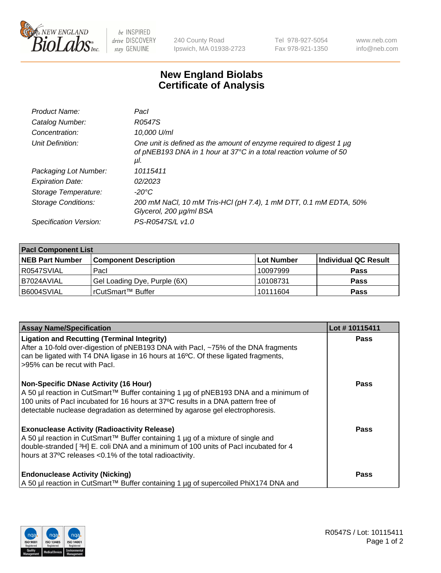

 $be$  INSPIRED drive DISCOVERY stay GENUINE

240 County Road Ipswich, MA 01938-2723 Tel 978-927-5054 Fax 978-921-1350 www.neb.com info@neb.com

## **New England Biolabs Certificate of Analysis**

| Product Name:              | Pacl                                                                                                                                            |
|----------------------------|-------------------------------------------------------------------------------------------------------------------------------------------------|
| Catalog Number:            | R0547S                                                                                                                                          |
| Concentration:             | 10,000 U/ml                                                                                                                                     |
| Unit Definition:           | One unit is defined as the amount of enzyme required to digest 1 µg<br>of pNEB193 DNA in 1 hour at 37°C in a total reaction volume of 50<br>μl. |
| Packaging Lot Number:      | 10115411                                                                                                                                        |
| <b>Expiration Date:</b>    | 02/2023                                                                                                                                         |
| Storage Temperature:       | $-20^{\circ}$ C                                                                                                                                 |
| <b>Storage Conditions:</b> | 200 mM NaCl, 10 mM Tris-HCl (pH 7.4), 1 mM DTT, 0.1 mM EDTA, 50%<br>Glycerol, 200 µg/ml BSA                                                     |
| Specification Version:     | PS-R0547S/L v1.0                                                                                                                                |
|                            |                                                                                                                                                 |

| <b>Pacl Component List</b> |                              |            |                      |  |  |
|----------------------------|------------------------------|------------|----------------------|--|--|
| <b>NEB Part Number</b>     | <b>Component Description</b> | Lot Number | Individual QC Result |  |  |
| R0547SVIAL                 | Pacl                         | 10097999   | <b>Pass</b>          |  |  |
| B7024AVIAL                 | Gel Loading Dye, Purple (6X) | 10108731   | <b>Pass</b>          |  |  |
| B6004SVIAL                 | rCutSmart™ Buffer            | 10111604   | <b>Pass</b>          |  |  |

| <b>Assay Name/Specification</b>                                                                                                                                                                                                                                                                            | Lot #10115411 |
|------------------------------------------------------------------------------------------------------------------------------------------------------------------------------------------------------------------------------------------------------------------------------------------------------------|---------------|
| <b>Ligation and Recutting (Terminal Integrity)</b><br>After a 10-fold over-digestion of pNEB193 DNA with Pacl, ~75% of the DNA fragments<br>can be ligated with T4 DNA ligase in 16 hours at 16 $\degree$ C. Of these ligated fragments,<br>l >95% can be recut with Pacl.                                 | <b>Pass</b>   |
| <b>Non-Specific DNase Activity (16 Hour)</b><br>A 50 µl reaction in CutSmart™ Buffer containing 1 µg of pNEB193 DNA and a minimum of<br>100 units of Pacl incubated for 16 hours at 37°C results in a DNA pattern free of<br>detectable nuclease degradation as determined by agarose gel electrophoresis. | Pass          |
| <b>Exonuclease Activity (Radioactivity Release)</b><br>A 50 µl reaction in CutSmart™ Buffer containing 1 µg of a mixture of single and<br>double-stranded [3H] E. coli DNA and a minimum of 100 units of Pacl incubated for 4<br>hours at 37°C releases <0.1% of the total radioactivity.                  | Pass          |
| <b>Endonuclease Activity (Nicking)</b><br>  A 50 µl reaction in CutSmart™ Buffer containing 1 µg of supercoiled PhiX174 DNA and                                                                                                                                                                            | <b>Pass</b>   |